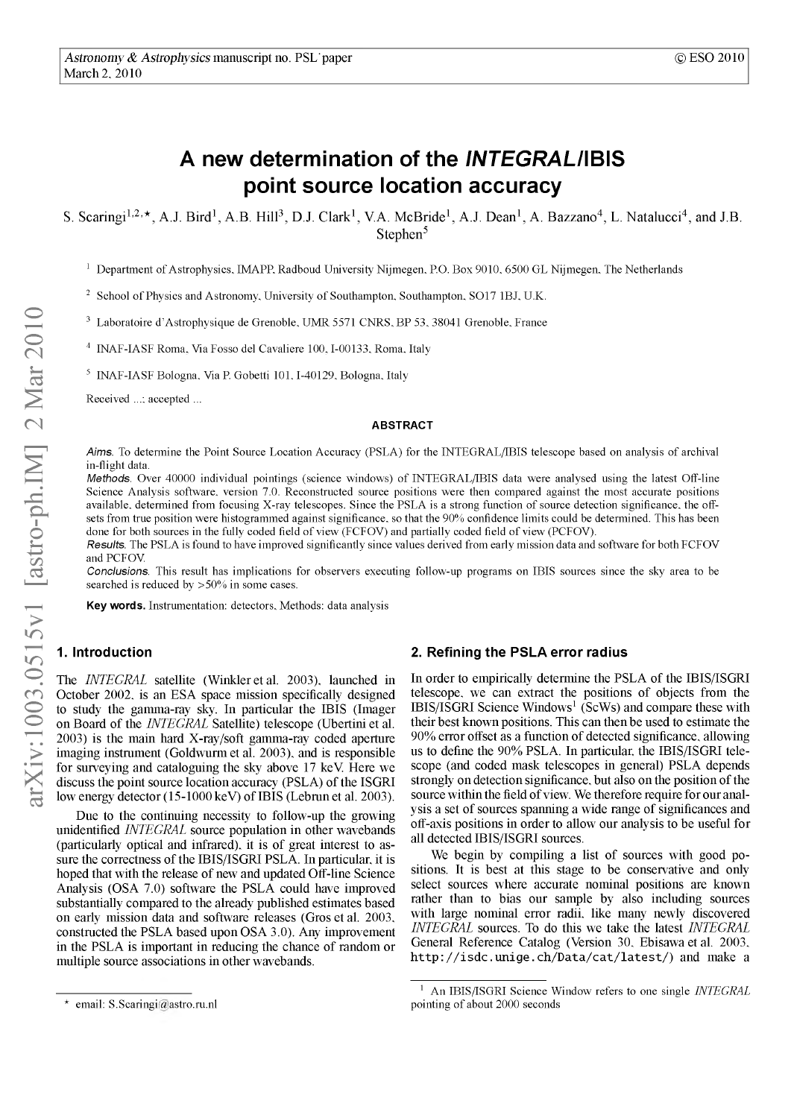# **A new determination of the** *INTEGRALI* **IBIS point source location accuracy**

S. Scaringi<sup>1,2,\*</sup>, A.J. Bird<sup>1</sup>, A.B. Hill<sup>3</sup>, D.J. Clark<sup>1</sup>, V.A. McBride<sup>1</sup>, A.J. Dean<sup>1</sup>, A. Bazzano<sup>4</sup>, L. Natalucci<sup>4</sup>, and J.B. Stephen<sup>5</sup>

<sup>1</sup> Department of Astrophysics, IMAPP, Radboud University Nijmegen, P.O. Box 9010, 6500 GL Nijmegen, The Netherlands

<sup>2</sup> School of Physics and Astronomy, University of Southampton, Southampton, SO17 1BJ, U.K.

3 Laboratoire d'Astrophysique de Grenoble, UMR 5571 CNRS, BP 53, 38041 Grenoble, France

<sup>4</sup> INAF-IASF Roma, Via Fosso del Cavaliere 100, I-00133, Roma, Italy

<sup>5</sup> INAF-IASF Bologna, Via P. Gobetti 101, I-40129, Bologna, Italy

Received ...; accepted ...

#### **ABSTRACT**

*Aims.* To determine the Point Source Location Accuracy (PSLA) for the INTEGRAL/IBIS telescope based on analysis of archival in-flight data.

*Methods.* Over 40000 individual pointings (science windows) of INTEGRAL/IBIS data were analysed using the latest Off-line Science Analysis software, version 7.0. Reconstructed source positions were then compared against the most accurate positions available, determined from focusing X-ray telescopes. Since the PSLA is a strong function of source detection significance, the offsets from true position were histogrammed against significance, so that the 90% confidence limits could be determined. This has been done for both sources in the fully coded field of view (FCFOV) and partially coded field of view (PCFOV).

*Results.* The PSLA is found to have improved significantly since values derived from early mission data and software for both FCFOV and PCFOV.

*Conclusions.* This result has implications for observers executing follow-up programs on IBIS sources since the sky area to be searched is reduced by >50% in some cases.

**Key words.** Instrumentation: detectors. Methods: data analysis

# **1. Introduction**

The *INTEGRAL* satellite (Winkler et al. 2003), launched in October 2002, is an ESA space mission specifically designed to study the gamma-ray sky. In particular the IBIS (Imager on Board of the *INTEGRAL* Satellite) telescope (Ubertini et al. 2003) is the main hard X-ray/soft gamma-ray coded aperture imaging instrument (Goldwurmet al. 2003), and is responsible for surveying and cataloguing the sky above 17 keV Here we discuss the point source location accuracy (PSLA) of the ISGRI low energy detector (15-1000 keV) of IBIS (Lebrun et al. 2003).

Due to the continuing necessity to follow-up the growing unidentified *INTEGRAL* source population in other wavebands (particularly optical and infrared), it is of great interest to assure the correctness of the IBIS/ISGRI PSLA. In particular, it is hoped that with the release of new and updated Off-line Science Analysis (OSA 7.0) software the PSLA could have improved substantially compared to the already published estimates based on early mission data and software releases (Gros et al. 2003, constructed the PSLA based upon OSA 3.0). Any improvement in the PSLA is important in reducing the chance of random or multiple source associations in other wavebands.

In order to empirically determine the PSLA of the IBIS/ISGRI telescope, we can extract the positions of objects from the IBIS/ISGRI Science Windows<sup>1</sup> (ScWs) and compare these with their best known positions. This can then be used to estimate the 90% error offset as a function of detected significance, allowing us to define the 90% PSLA. In particular, the IBIS/ISGRI telescope (and coded mask telescopes in general) PSLA depends strongly on detection significance, but also on the position of the source within the field of view. We therefore require for our analysis a set of sources spanning a wide range of significances and off-axis positions in order to allow our analysis to be useful for all detected IBIS/ISGRI sources.

We begin by compiling a list of sources with good positions. It is best at this stage to be conservative and only select sources where accurate nominal positions are known rather than to bias our sample by also including sources with large nominal error radii, like many newly discovered *INTEGRAL* sources. To do this we take the latest *INTEGRAL* General Reference Catalog (Version 30, Ebisawa et al. 2003, http://isdc.unige.ch/Data/cat/latest/) and make a

**<sup>2.</sup> Refining the PSLA error radius**

<sup>\*</sup> email: S.Scaringi@astro.ru.nl

<sup>1</sup> An IBIS/ISGRI Science Window refers to one single *INTEGRAL* pointing of about 2000 seconds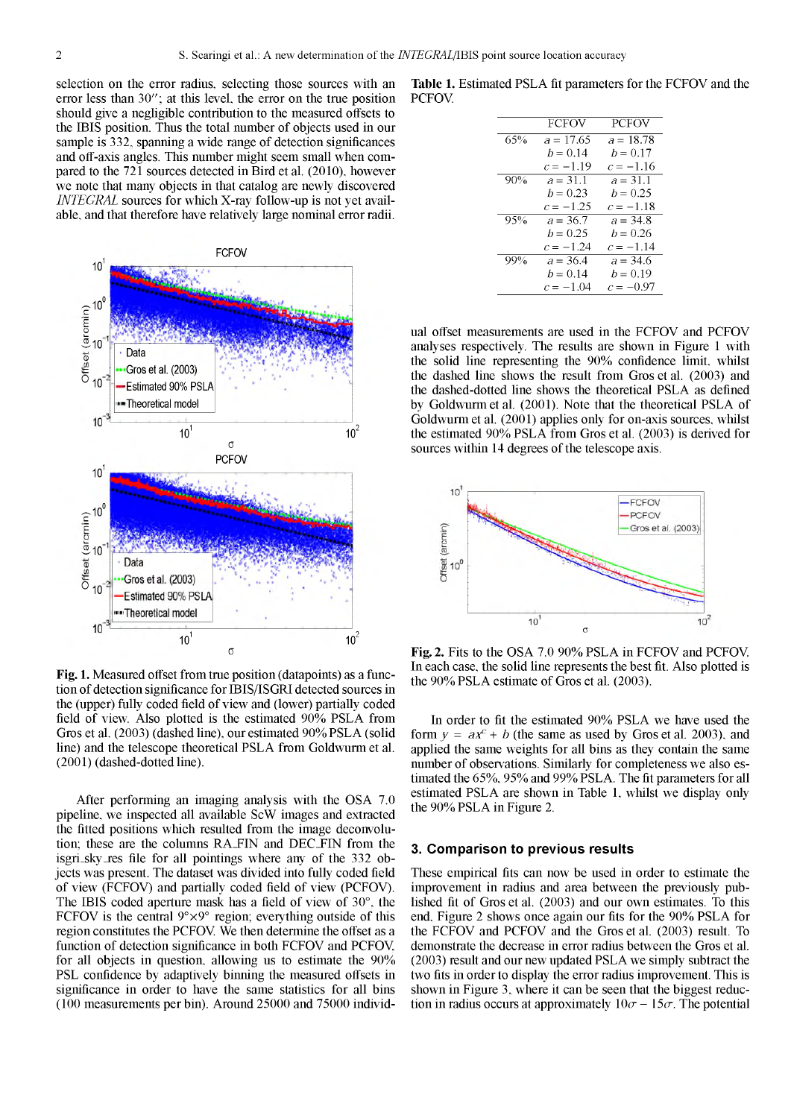selection on the error radius, selecting those sources with an error less than 30"; at this level, the error on the true position should give a negligible contribution to the measured offsets to the IBIS position. Thus the total number of objects used in our sample is 332, spanning a wide range of detection significances and off-axis angles. This number might seem small when compared to the 721 sources detected in Bird et al. (2010), however we note that many objects in that catalog are newly discovered *INTEGRAL* sources for which X-ray follow-up is not yet available, and that therefore have relatively large nominal error radii.



Fig. 1. Measured offset from true position (datapoints) as a function of detection significance for IBIS/ISGRI detected sources in the (upper) fully coded field of view and (lower) partially coded field of view. Also plotted is the estimated 90% PSLA from Gros et al. (2003) (dashed line), our estimated 90% PSLA (solid line) and the telescope theoretical PSLA from Goldwurm et al. (2001) (dashed-dotted line).

After performing an imaging analysis with the OSA 7.0 pipeline, we inspected all available ScW images and extracted the fitted positions which resulted from the image deconvolution; these are the columns RA\_FIN and DEC\_FIN from the isgri\_sky\_res file for all pointings where any of the 332 objects was present. The dataset was divided into fully coded field of view (FCFOV) and partially coded field of view (PCFOV). The IBIS coded aperture mask has a field of view of 30°, the FCFOV is the central  $9^{\circ} \times 9^{\circ}$  region; everything outside of this region constitutes the PCFOV. We then determine the offset as a function of detection significance in both FCFOV and PCFOV for all objects in question, allowing us to estimate the 90% PSL confidence by adaptively binning the measured offsets in significance in order to have the same statistics for all bins (100 measurements per bin). Around 25000 and 75000 individ-

**Table** 1. Estimated PSLA fit parameters for the FCFOV and the **PCFOV.** 

|     | <b>FCFOV</b> | <b>PCFOV</b> |
|-----|--------------|--------------|
| 65% | $a = 17.65$  | $a = 18.78$  |
|     | $b = 0.14$   | $b = 0.17$   |
|     | $c = -1.19$  | $c = -1.16$  |
| 90% | $a = 31.1$   | $a = 31.1$   |
|     | $b = 0.23$   | $b = 0.25$   |
|     | $c = -1.25$  | $c = -1.18$  |
| 95% | $a = 36.7$   | $a = 34.8$   |
|     | $b = 0.25$   | $b = 0.26$   |
|     | $c = -1.24$  | $c = -1.14$  |
| 99% | $a = 36.4$   | $a = 34.6$   |
|     | $b = 0.14$   | $b = 0.19$   |
|     | $c = -1.04$  | $c = -0.97$  |
|     |              |              |

ual offset measurements are used in the FCFOV and PCFOV analyses respectively. The results are shown in Figure 1 with the solid line representing the 90% confidence limit, whilst the dashed line shows the result from Gros et al. (2003) and the dashed-dotted line shows the theoretical PSLA as defined by Goldwurm et al. (2001). Note that the theoretical PSLA of Goldwurm et al. (2001) applies only for on-axis sources, whilst the estimated 90% PSLA from Gros et al. (2003) is derived for sources within 14 degrees of the telescope axis.



Fig. 2. Fits to the OSA 7.0 90% PSLA in FCFOV and PCFOV. In each case, the solid line represents the best fit. Also plotted is the 90% PSLA estimate of Gros et al. (2003).

In order to fit the estimated 90% PSLA we have used the form  $y = ax^c + b$  (the same as used by Gros et al. 2003), and applied the same weights for all bins as they contain the same number of observations. Similarly for completeness we also estimated the 65%, 95% and 99% PSLA. The fit parameters for all estimated PSLA are shown in Table 1, whilst we display only the 90% PSLA in Figure 2.

### **3. Comparison to previous results**

These empirical fits can now be used in order to estimate the improvement in radius and area between the previously published fit of Gros et al. (2003) and our own estimates. To this end. Figure 2 shows once again our fits for the 90% PSLA for the FCFOV and PCFOV and the Gros et al. (2003) result. To demonstrate the decrease in error radius between the Gros et al. (2003) result and our new updated PSLA we simply subtract the two fits in order to display the error radius improvement. This is shown in Figure 3, where it can be seen that the biggest reduction in radius occurs at approximately  $10\sigma - 15\sigma$ . The potential